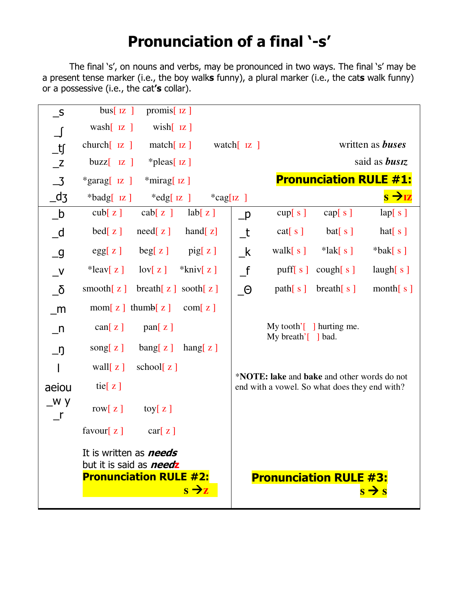## **Pronunciation of a final '-s'**

The final 's', on nouns and verbs, may be pronounced in two ways. The final 's' may be a present tense marker (i.e., the boy walk**s** funny), a plural marker (i.e., the cat**s** walk funny) or a possessive (i.e., the cat**'s** collar).

| $\mathbf{-}$ S             | $bus[$ IZ $]$<br>promis $\lceil z \rceil$                                                                              |                  |                                                                                                      |                                                                   |                               |                   |
|----------------------------|------------------------------------------------------------------------------------------------------------------------|------------------|------------------------------------------------------------------------------------------------------|-------------------------------------------------------------------|-------------------------------|-------------------|
| $\bigcup$                  | wash $[$ $\overline{z}$ $]$<br>$wish[$ $Iz]$                                                                           |                  |                                                                                                      |                                                                   |                               |                   |
| $\_ \mathfrak{t}$          | $church[$ $IZ$ ]<br>match $[$ Iz $]$<br>watch $\begin{bmatrix} I\mathbf{z} \end{bmatrix}$                              |                  |                                                                                                      |                                                                   | written as <b>buses</b>       |                   |
| Z                          | $buzz$ $[z]$<br>$*$ pleas[ $iz$ ]                                                                                      |                  |                                                                                                      | said as <b>busiz</b>                                              |                               |                   |
| $\overline{\mathbf{3}}$    | <b>Pronunciation RULE #1:</b><br>$*$ mirag[ $iz$ ]<br>$*garg[$ IZ ]                                                    |                  |                                                                                                      |                                                                   |                               |                   |
| $-d_3$                     | $\ast$ badg[ $\mathsf{IZ}$ ]<br>$*$ edg[ $\mathsf{IZ}$ ]                                                               | $*$ cag[ $ z $ ] |                                                                                                      |                                                                   |                               |                   |
| $_b$                       | $\cosh[z]$<br>cab[z]<br>lab[z]                                                                                         |                  | $\_$ p                                                                                               | cup[ s ]                                                          | cap[s]                        | lap[ s ]          |
| $-d$                       | need[z]<br>hand $[z]$<br>$\text{bed}[\mathbf{z}]$                                                                      |                  | $_t$                                                                                                 | cat[s]                                                            | bat[s]                        | hat $[s]$         |
| $\overline{\phantom{a}}$ g | egg[z]<br>beg[z]<br>$\pi$ pig[ z ]                                                                                     |                  | $\mathsf{k}$                                                                                         | walk $[s]$                                                        | $*$ lak $[s]$                 | $*$ bak[ s ]      |
| $V_{-}$                    | $*$ leav[z]<br>$\text{lov}[\mathbf{z}]$<br>$*$ kniv $[z]$                                                              |                  | $\mathsf{f}$                                                                                         | puff $[s]$                                                        | cough[ s ]                    | laugh[s]          |
| $\overline{6}$             | breath $[z]$<br>smooth $[z]$<br>sooth $[z]$                                                                            |                  | $\theta$                                                                                             | path[s]                                                           | breath $[s]$                  | month $[s]$       |
| m                          | $\text{mom}[z]$ thumb $[z]$<br>com[z]                                                                                  |                  |                                                                                                      |                                                                   |                               |                   |
| $\_n$                      | $\text{can}[\mathbf{z}]$<br>pan[z]                                                                                     |                  |                                                                                                      | My tooth' $\lceil \cdot \rceil$ hurting me.<br>My breath'[ ] bad. |                               |                   |
| $\Box$ ŋ                   | $\text{bang}[\,z\,]$<br>hang $[z]$<br>song $z]$                                                                        |                  |                                                                                                      |                                                                   |                               |                   |
|                            | wall $[z]$<br>school $[z]$                                                                                             |                  |                                                                                                      |                                                                   |                               |                   |
| aeiou                      | tie $[z]$                                                                                                              |                  | * <b>NOTE:</b> lake and bake and other words do not<br>end with a vowel. So what does they end with? |                                                                   |                               |                   |
| _w y<br>$\mathsf{r}$       | row $[z]$<br>toy $[z]$                                                                                                 |                  |                                                                                                      |                                                                   |                               |                   |
|                            | favour $[z]$<br>$\text{car}[\mathbf{z}]$                                                                               |                  |                                                                                                      |                                                                   |                               |                   |
|                            | It is written as <b>needs</b><br>but it is said as <i>need</i> z<br><b>Pronunciation RULE #2:</b><br>$s \rightarrow z$ |                  |                                                                                                      |                                                                   | <b>Pronunciation RULE #3:</b> | $s \rightarrow s$ |